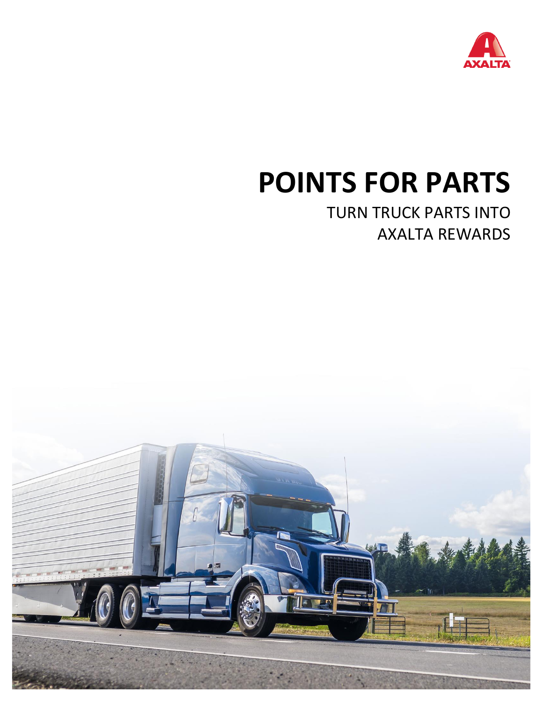

# **POINTS FOR PARTS**

## TURN TRUCK PARTS INTO AXALTA REWARDS

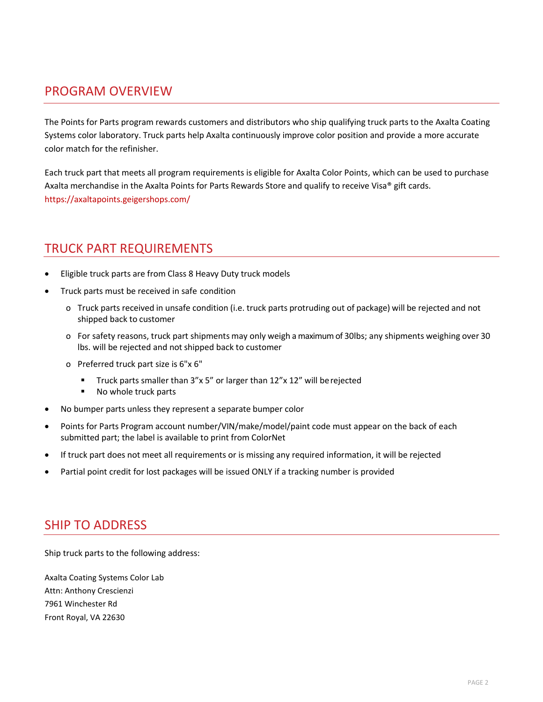#### PROGRAM OVERVIEW

The Points for Parts program rewards customers and distributors who ship qualifying truck parts to the Axalta Coating Systems color laboratory. Truck parts help Axalta continuously improve color position and provide a more accurate color match for the refinisher.

Each truck part that meets all program requirements is eligible for Axalta Color Points, which can be used to purchase Axalta merchandise in the Axalta Points for Parts Rewards Store and qualify to receive Visa® gift cards. https://axaltapoints.geigershops.com/

#### TRUCK PART REQUIREMENTS

- Eligible truck parts are from Class 8 Heavy Duty truck models
- Truck parts must be received in safe condition
	- o Truck parts received in unsafe condition (i.e. truck parts protruding out of package) will be rejected and not shipped back to customer
	- o For safety reasons, truck part shipments may only weigh a maximum of 30lbs; any shipments weighing over 30 lbs. will be rejected and not shipped back to customer
	- o Preferred truck part size is 6"x 6"
		- Truck parts smaller than 3"x 5" or larger than 12"x 12" will be rejected
		- No whole truck parts
- No bumper parts unless they represent a separate bumper color
- Points for Parts Program account number/VIN/make/model/paint code must appear on the back of each submitted part; the label is available to print from ColorNet
- If truck part does not meet all requirements or is missing any required information, it will be rejected
- Partial point credit for lost packages will be issued ONLY if a tracking number is provided

#### SHIP TO ADDRESS

Ship truck parts to the following address:

Axalta Coating Systems Color Lab Attn: Anthony Crescienzi 7961 Winchester Rd Front Royal, VA 22630